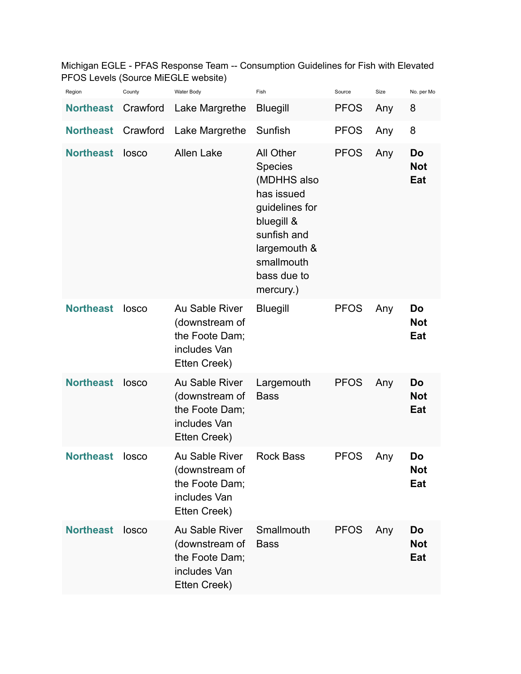Michigan EGLE - PFAS Response Team -- Consumption Guidelines for Fish with Elevated PFOS Levels (Source MiEGLE website)

| Region           | County   | Water Body                                                                         | Fish                                                                                                                                                              | Source      | Size | No. per Mo              |
|------------------|----------|------------------------------------------------------------------------------------|-------------------------------------------------------------------------------------------------------------------------------------------------------------------|-------------|------|-------------------------|
| <b>Northeast</b> | Crawford | Lake Margrethe                                                                     | <b>Bluegill</b>                                                                                                                                                   | <b>PFOS</b> | Any  | 8                       |
| <b>Northeast</b> | Crawford | Lake Margrethe                                                                     | Sunfish                                                                                                                                                           | <b>PFOS</b> | Any  | 8                       |
| <b>Northeast</b> | losco    | <b>Allen Lake</b>                                                                  | All Other<br><b>Species</b><br>(MDHHS also<br>has issued<br>guidelines for<br>bluegill &<br>sunfish and<br>largemouth &<br>smallmouth<br>bass due to<br>mercury.) | <b>PFOS</b> | Any  | Do<br><b>Not</b><br>Eat |
| <b>Northeast</b> | losco    | Au Sable River<br>(downstream of<br>the Foote Dam;<br>includes Van<br>Etten Creek) | <b>Bluegill</b>                                                                                                                                                   | <b>PFOS</b> | Any  | Do<br><b>Not</b><br>Eat |
| <b>Northeast</b> | losco    | Au Sable River<br>(downstream of<br>the Foote Dam;<br>includes Van<br>Etten Creek) | Largemouth<br><b>Bass</b>                                                                                                                                         | <b>PFOS</b> | Any  | Do<br><b>Not</b><br>Eat |
| <b>Northeast</b> | losco    | Au Sable River<br>(downstream of<br>the Foote Dam;<br>includes Van<br>Etten Creek) | <b>Rock Bass</b>                                                                                                                                                  | <b>PFOS</b> | Any  | Do<br><b>Not</b><br>Eat |
| <b>Northeast</b> | losco    | Au Sable River<br>(downstream of<br>the Foote Dam;<br>includes Van<br>Etten Creek) | Smallmouth<br><b>Bass</b>                                                                                                                                         | <b>PFOS</b> | Any  | Do<br><b>Not</b><br>Eat |